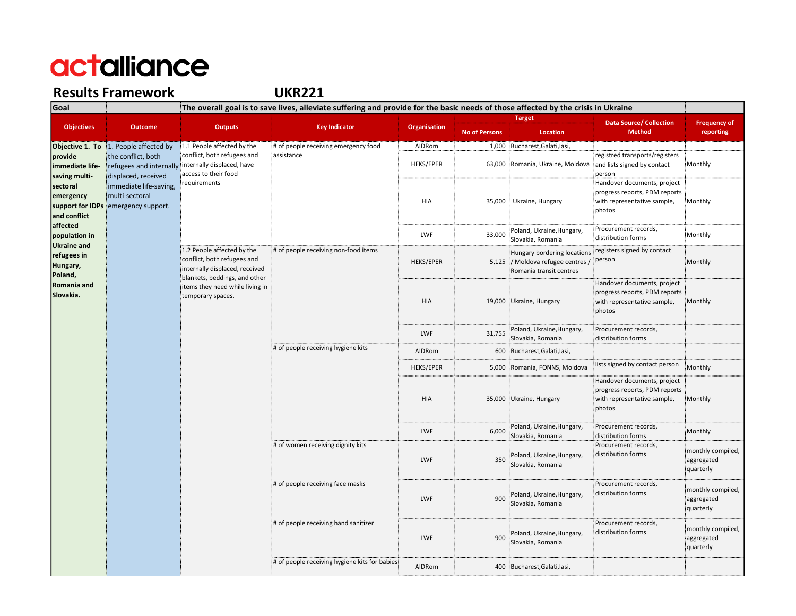#### Results Framework

UKR221

| Goal                                                      | The overall goal is to save lives, alleviate suffering and provide for the basic needs of those affected by the crisis in Ukraine [    |                                                                                                                                                                                      |                                                                                                               |                     |                      |                                                                                             |                                                                                                       |                                              |  |
|-----------------------------------------------------------|----------------------------------------------------------------------------------------------------------------------------------------|--------------------------------------------------------------------------------------------------------------------------------------------------------------------------------------|---------------------------------------------------------------------------------------------------------------|---------------------|----------------------|---------------------------------------------------------------------------------------------|-------------------------------------------------------------------------------------------------------|----------------------------------------------|--|
|                                                           | <b>Outcome</b>                                                                                                                         | <b>Outputs</b>                                                                                                                                                                       | <b>Key Indicator</b>                                                                                          | <b>Organisation</b> | <b>Target</b>        |                                                                                             | <b>Data Source/ Collection</b>                                                                        | <b>Frequency of</b>                          |  |
| <b>Objectives</b>                                         |                                                                                                                                        |                                                                                                                                                                                      |                                                                                                               |                     | <b>No of Persons</b> | Location                                                                                    | <b>Method</b>                                                                                         | reporting                                    |  |
| Objective 1. To                                           | 1. People affected by                                                                                                                  | 1.1 People affected by the                                                                                                                                                           | # of people receiving emergency food                                                                          | AIDRom              |                      | 1,000 Bucharest, Galati, lasi,                                                              |                                                                                                       |                                              |  |
| provide<br>immediate life-<br>saving multi-               | the conflict, both<br>refugees and internally<br>displaced, received<br>immediate life-saving,<br>multi-sectoral<br>emergency support. | conflict, both refugees and<br>internally displaced, have<br>access to their food<br>requirements                                                                                    | assistance                                                                                                    | <b>HEKS/EPER</b>    |                      | 63,000 Romania, Ukraine, Moldova                                                            | registred transports/registers<br>and lists signed by contact<br>person                               | Monthly                                      |  |
| sectoral<br>emergency<br>support for IDPs<br>and conflict |                                                                                                                                        |                                                                                                                                                                                      |                                                                                                               | HIA                 |                      | 35,000 Ukraine, Hungary                                                                     | Handover documents, project<br>progress reports, PDM reports<br>with representative sample,<br>photos | Monthly                                      |  |
| affected<br>population in<br><b>Ukraine and</b>           |                                                                                                                                        |                                                                                                                                                                                      |                                                                                                               | <b>LWF</b>          | 33,000               | Poland, Ukraine, Hungary,<br>Slovakia, Romania                                              | Procurement records,<br>distribution forms                                                            | Monthly                                      |  |
| refugees in<br>Hungary,<br>Poland,                        |                                                                                                                                        | 1.2 People affected by the<br>conflict, both refugees and<br>internally displaced, received<br>blankets, beddings, and other<br>items they need while living in<br>temporary spaces. | # of people receiving non-food items                                                                          | <b>HEKS/EPER</b>    |                      | Hungary bordering locations<br>5,125 / Moldova refugee centres /<br>Romania transit centres | registers signed by contact<br>person                                                                 | Monthly                                      |  |
| Romania and<br>Slovakia.                                  |                                                                                                                                        |                                                                                                                                                                                      |                                                                                                               | <b>HIA</b>          |                      | 19,000 Ukraine, Hungary                                                                     | Handover documents, project<br>progress reports, PDM reports<br>with representative sample,<br>photos | Monthly                                      |  |
|                                                           |                                                                                                                                        |                                                                                                                                                                                      |                                                                                                               | <b>LWF</b>          | 31,755               | Poland, Ukraine, Hungary,<br>Slovakia, Romania                                              | Procurement records,<br>distribution forms                                                            |                                              |  |
|                                                           |                                                                                                                                        |                                                                                                                                                                                      | # of people receiving hygiene kits                                                                            | AIDRom              |                      | 600 Bucharest, Galati, lasi,                                                                |                                                                                                       |                                              |  |
|                                                           |                                                                                                                                        |                                                                                                                                                                                      |                                                                                                               | <b>HEKS/EPER</b>    | 5,000                | Romania, FONNS, Moldova                                                                     | lists signed by contact person                                                                        | Monthly                                      |  |
|                                                           |                                                                                                                                        |                                                                                                                                                                                      |                                                                                                               | HIA                 |                      | 35,000 Ukraine, Hungary                                                                     | Handover documents, project<br>progress reports, PDM reports<br>with representative sample,<br>photos | Monthly                                      |  |
|                                                           |                                                                                                                                        |                                                                                                                                                                                      |                                                                                                               | <b>LWF</b>          | 6,000                | Poland, Ukraine, Hungary,<br>Slovakia, Romania                                              | Procurement records,<br>distribution forms                                                            | Monthly                                      |  |
|                                                           |                                                                                                                                        |                                                                                                                                                                                      | # of women receiving dignity kits<br># of people receiving face masks<br># of people receiving hand sanitizer | <b>LWF</b>          | 350                  | Poland, Ukraine, Hungary,<br>Slovakia, Romania                                              | Procurement records,<br>distribution forms                                                            | monthly compiled,<br>aggregated<br>quarterly |  |
|                                                           |                                                                                                                                        |                                                                                                                                                                                      |                                                                                                               | <b>LWF</b>          | 900                  | Poland, Ukraine, Hungary,<br>Slovakia, Romania                                              | Procurement records,<br>distribution forms                                                            | monthly compiled,<br>aggregated<br>quarterly |  |
|                                                           |                                                                                                                                        |                                                                                                                                                                                      |                                                                                                               | <b>LWF</b>          | 900                  | Poland, Ukraine, Hungary,<br>Slovakia, Romania                                              | Procurement records,<br>distribution forms                                                            | monthly compiled,<br>aggregated<br>quarterly |  |
|                                                           |                                                                                                                                        |                                                                                                                                                                                      | # of people receiving hygiene kits for babies:                                                                | AIDRom              |                      | 400 Bucharest, Galati, lasi,                                                                |                                                                                                       |                                              |  |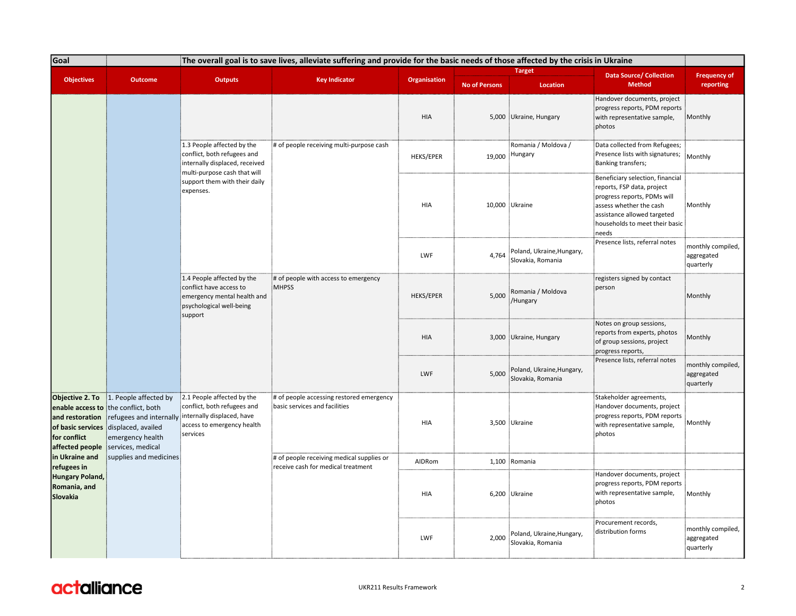| Goal<br>The overall goal is to save lives, alleviate suffering and provide for the basic needs of those affected by the crisis in Ukraine |                                                                                                                                                                                  |                                                                                                                                                                                                                                                                                                   |                                               |                     |                                                |                                                                                                                                                                                                    |                                                                                                                                  |                                              |
|-------------------------------------------------------------------------------------------------------------------------------------------|----------------------------------------------------------------------------------------------------------------------------------------------------------------------------------|---------------------------------------------------------------------------------------------------------------------------------------------------------------------------------------------------------------------------------------------------------------------------------------------------|-----------------------------------------------|---------------------|------------------------------------------------|----------------------------------------------------------------------------------------------------------------------------------------------------------------------------------------------------|----------------------------------------------------------------------------------------------------------------------------------|----------------------------------------------|
|                                                                                                                                           |                                                                                                                                                                                  |                                                                                                                                                                                                                                                                                                   |                                               |                     |                                                | <b>Target</b>                                                                                                                                                                                      | <b>Data Source/ Collection</b>                                                                                                   | <b>Frequency of</b>                          |
| <b>Objectives</b>                                                                                                                         | <b>Outcome</b>                                                                                                                                                                   | <b>Outputs</b>                                                                                                                                                                                                                                                                                    | <b>Key Indicator</b>                          | <b>Organisation</b> | <b>No of Persons</b>                           | Location                                                                                                                                                                                           | <b>Method</b>                                                                                                                    | reporting                                    |
|                                                                                                                                           |                                                                                                                                                                                  |                                                                                                                                                                                                                                                                                                   |                                               | <b>HIA</b>          |                                                | 5,000 Ukraine, Hungary                                                                                                                                                                             | Handover documents, project<br>progress reports, PDM reports<br>with representative sample,<br>photos                            | Monthly                                      |
|                                                                                                                                           |                                                                                                                                                                                  | 1.3 People affected by the<br>conflict, both refugees and<br>internally displaced, received<br>multi-purpose cash that will                                                                                                                                                                       | # of people receiving multi-purpose cash      | <b>HEKS/EPER</b>    |                                                | Romania / Moldova /<br>19,000 Hungary                                                                                                                                                              | Data collected from Refugees;<br>Presence lists with signatures;<br>Banking transfers;                                           | Monthly                                      |
|                                                                                                                                           |                                                                                                                                                                                  | support them with their daily<br>expenses.                                                                                                                                                                                                                                                        | HIA                                           |                     | 10,000 Ukraine                                 | Beneficiary selection, financial<br>reports, FSP data, project<br>progress reports, PDMs will<br>assess whether the cash<br>assistance allowed targeted<br>households to meet their basic<br>needs | Monthly                                                                                                                          |                                              |
|                                                                                                                                           |                                                                                                                                                                                  |                                                                                                                                                                                                                                                                                                   |                                               | LWF                 | 4,764                                          | Poland, Ukraine, Hungary,<br>Slovakia, Romania                                                                                                                                                     | Presence lists, referral notes                                                                                                   | monthly compiled,<br>aggregated<br>quarterly |
|                                                                                                                                           |                                                                                                                                                                                  | 1.4 People affected by the<br>conflict have access to<br>emergency mental health and<br>psychological well-being<br>support                                                                                                                                                                       | # of people with access to emergency<br>MHPSS | <b>HEKS/EPER</b>    | 5,000                                          | Romania / Moldova<br>/Hungary                                                                                                                                                                      | registers signed by contact<br>person                                                                                            | Monthly                                      |
|                                                                                                                                           |                                                                                                                                                                                  |                                                                                                                                                                                                                                                                                                   |                                               | HIA                 |                                                | 3,000 Ukraine, Hungary                                                                                                                                                                             | Notes on group sessions,<br>reports from experts, photos<br>of group sessions, project<br>progress reports,                      | Monthly                                      |
|                                                                                                                                           |                                                                                                                                                                                  |                                                                                                                                                                                                                                                                                                   |                                               | LWF                 | 5,000                                          | Poland, Ukraine, Hungary,<br>Slovakia, Romania                                                                                                                                                     | Presence lists, referral notes                                                                                                   | monthly compiled,<br>aggregated<br>quarterly |
| Objective 2. To<br>and restoration<br>of basic services<br>for conflict<br>affected people                                                | 1. People affected by<br>enable access to the conflict, both<br>refugees and internally<br>displaced, availed<br>emergency health<br>services, medical<br>supplies and medicines | 2.1 People affected by the<br># of people accessing restored emergency<br>conflict, both refugees and<br>basic services and facilities<br>internally displaced, have<br>access to emergency health<br>services<br># of people receiving medical supplies or<br>receive cash for medical treatment |                                               | HIA                 |                                                | 3,500 Ukraine                                                                                                                                                                                      | Stakeholder agreements,<br>Handover documents, project<br>progress reports, PDM reports<br>with representative sample,<br>photos | Monthly                                      |
| in Ukraine and<br>refugees in                                                                                                             |                                                                                                                                                                                  |                                                                                                                                                                                                                                                                                                   |                                               | AIDRom              |                                                | 1,100 Romania                                                                                                                                                                                      |                                                                                                                                  |                                              |
| <b>Hungary Poland,</b><br>Romania, and<br>Slovakia                                                                                        |                                                                                                                                                                                  |                                                                                                                                                                                                                                                                                                   | HIA                                           |                     | 6,200 Ukraine                                  | Handover documents, project<br>progress reports, PDM reports<br>with representative sample,<br>photos                                                                                              | Monthly                                                                                                                          |                                              |
|                                                                                                                                           |                                                                                                                                                                                  |                                                                                                                                                                                                                                                                                                   | LWF                                           | 2,000               | Poland, Ukraine, Hungary,<br>Slovakia, Romania | Procurement records,<br>distribution forms                                                                                                                                                         | monthly compiled,<br>aggregated<br>quarterly                                                                                     |                                              |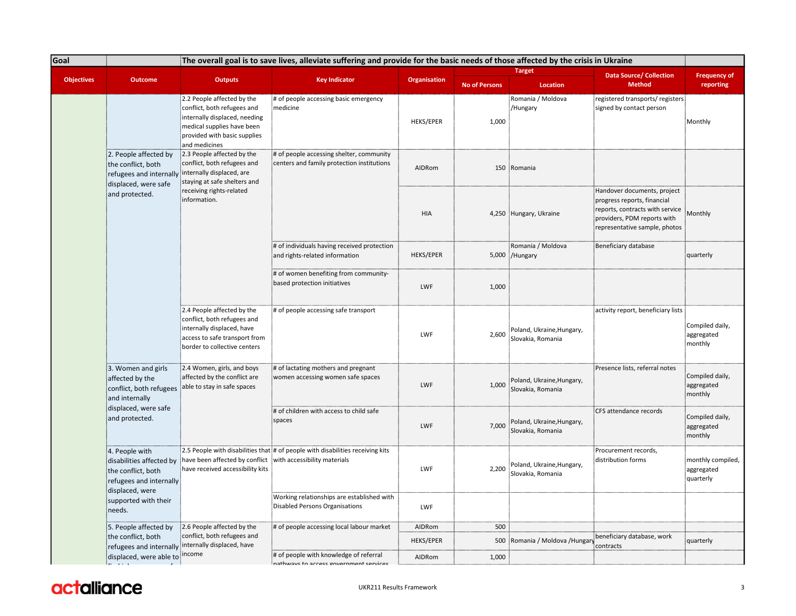| Goal              |                                                                                                                | The overall goal is to save lives, alleviate suffering and provide for the basic needs of those affected by the crisis in Ukraine                                                                                                                                                                                                                                                                      |                                                                                        |                     |                        |                                                                                                                                                               |                                                             |                                              |  |
|-------------------|----------------------------------------------------------------------------------------------------------------|--------------------------------------------------------------------------------------------------------------------------------------------------------------------------------------------------------------------------------------------------------------------------------------------------------------------------------------------------------------------------------------------------------|----------------------------------------------------------------------------------------|---------------------|------------------------|---------------------------------------------------------------------------------------------------------------------------------------------------------------|-------------------------------------------------------------|----------------------------------------------|--|
|                   |                                                                                                                |                                                                                                                                                                                                                                                                                                                                                                                                        |                                                                                        |                     |                        | <b>Target</b>                                                                                                                                                 | <b>Data Source/ Collection</b>                              | <b>Frequency of</b>                          |  |
| <b>Objectives</b> | <b>Outcome</b>                                                                                                 | <b>Outputs</b>                                                                                                                                                                                                                                                                                                                                                                                         | <b>Key Indicator</b>                                                                   | <b>Organisation</b> | <b>No of Persons</b>   | Location                                                                                                                                                      | <b>Method</b>                                               | reporting                                    |  |
|                   |                                                                                                                | 2.2 People affected by the<br>conflict, both refugees and<br>internally displaced, needing<br>medical supplies have been<br>provided with basic supplies<br>and medicines                                                                                                                                                                                                                              | # of people accessing basic emergency<br>medicine                                      | <b>HEKS/EPER</b>    | 1,000                  | Romania / Moldova<br>/Hungary                                                                                                                                 | registered transports/registers<br>signed by contact person | Monthly                                      |  |
|                   | 2. People affected by<br>the conflict, both<br>refugees and internally<br>displaced, were safe                 | 2.3 People affected by the<br>conflict, both refugees and<br>internally displaced, are<br>staying at safe shelters and                                                                                                                                                                                                                                                                                 | # of people accessing shelter, community<br>centers and family protection institutions | AIDRom              | 150                    | Romania                                                                                                                                                       |                                                             |                                              |  |
|                   | and protected.                                                                                                 | receiving rights-related<br>information.<br># of individuals having received protection<br>and rights-related information<br># of women benefiting from community-<br>based protection initiatives<br>2.4 People affected by the<br># of people accessing safe transport<br>conflict, both refugees and<br>internally displaced, have<br>access to safe transport from<br>border to collective centers | <b>HIA</b>                                                                             |                     | 4,250 Hungary, Ukraine | Handover documents, project<br>progress reports, financial<br>reports, contracts with service<br>providers, PDM reports with<br>representative sample, photos | Monthly                                                     |                                              |  |
|                   |                                                                                                                |                                                                                                                                                                                                                                                                                                                                                                                                        |                                                                                        | <b>HEKS/EPER</b>    |                        | Romania / Moldova<br>5,000 /Hungary                                                                                                                           | Beneficiary database                                        | quarterly                                    |  |
|                   |                                                                                                                |                                                                                                                                                                                                                                                                                                                                                                                                        |                                                                                        | LWF                 | 1,000                  |                                                                                                                                                               |                                                             |                                              |  |
|                   |                                                                                                                |                                                                                                                                                                                                                                                                                                                                                                                                        |                                                                                        | LWF                 | 2,600                  | Poland, Ukraine, Hungary,<br>Slovakia, Romania                                                                                                                | activity report, beneficiary lists                          | Compiled daily,<br>aggregated<br>monthly     |  |
|                   | 3. Women and girls<br>affected by the<br>conflict, both refugees<br>and internally                             | 2.4 Women, girls, and boys<br>affected by the conflict are<br>able to stay in safe spaces                                                                                                                                                                                                                                                                                                              | # of lactating mothers and pregnant<br>women accessing women safe spaces               | LWF                 | 1,000                  | Poland, Ukraine, Hungary,<br>Slovakia, Romania                                                                                                                | Presence lists, referral notes                              | Compiled daily,<br>aggregated<br>monthly     |  |
|                   | displaced, were safe<br>and protected.                                                                         |                                                                                                                                                                                                                                                                                                                                                                                                        | # of children with access to child safe<br>spaces                                      | LWF                 | 7,000                  | Poland, Ukraine, Hungary,<br>Slovakia, Romania                                                                                                                | CFS attendance records                                      | Compiled daily,<br>aggregated<br>monthly     |  |
|                   | 4. People with<br>disabilities affected by<br>the conflict, both<br>refugees and internally<br>displaced, were | have been affected by conflict with accessibility materials<br>have received accessibility kits                                                                                                                                                                                                                                                                                                        | 2.5 People with disabilities that # of people with disabilities receiving kits         | LWF                 | 2,200                  | Poland, Ukraine, Hungary,<br>Slovakia, Romania                                                                                                                | Procurement records,<br>distribution forms                  | monthly compiled,<br>aggregated<br>quarterly |  |
|                   | supported with their<br>needs.                                                                                 |                                                                                                                                                                                                                                                                                                                                                                                                        | Working relationships are established with<br><b>Disabled Persons Organisations</b>    | LWF                 |                        |                                                                                                                                                               |                                                             |                                              |  |
|                   | 5. People affected by                                                                                          | 2.6 People affected by the                                                                                                                                                                                                                                                                                                                                                                             | # of people accessing local labour market                                              | AIDRom              | 500                    |                                                                                                                                                               |                                                             |                                              |  |
|                   | the conflict, both                                                                                             | conflict, both refugees and<br>refugees and internally internally displaced, have                                                                                                                                                                                                                                                                                                                      |                                                                                        | <b>HEKS/EPER</b>    | 500                    | Romania / Moldova /Hungary                                                                                                                                    | beneficiary database, work<br>contracts                     | quarterly                                    |  |
|                   | displaced, were able to income                                                                                 |                                                                                                                                                                                                                                                                                                                                                                                                        | # of people with knowledge of referral<br>nathwave to accose envornment convices       | AIDRom              | 1,000                  |                                                                                                                                                               |                                                             |                                              |  |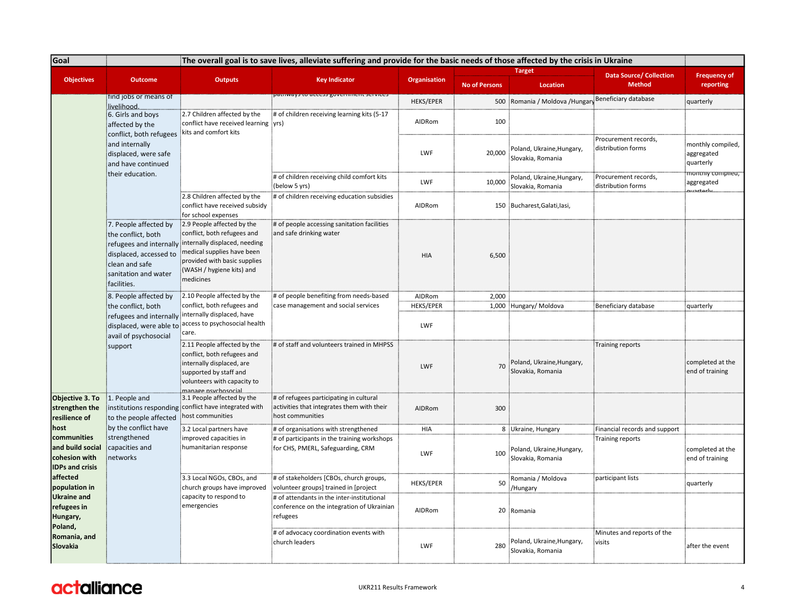| <b>Goal</b>                                                                                                                                                                              |                                                                                                                                                           |                                                                                                                                                                                                    | The overall goal is to save lives, alleviate suffering and provide for the basic needs of those affected by the crisis in Ukraine |                     |                      |                                                 |                                                 |                                              |
|------------------------------------------------------------------------------------------------------------------------------------------------------------------------------------------|-----------------------------------------------------------------------------------------------------------------------------------------------------------|----------------------------------------------------------------------------------------------------------------------------------------------------------------------------------------------------|-----------------------------------------------------------------------------------------------------------------------------------|---------------------|----------------------|-------------------------------------------------|-------------------------------------------------|----------------------------------------------|
| <b>Objectives</b>                                                                                                                                                                        | <b>Outcome</b>                                                                                                                                            | <b>Outputs</b>                                                                                                                                                                                     | <b>Key Indicator</b>                                                                                                              | <b>Organisation</b> | <b>No of Persons</b> | <b>Target</b><br>Location                       | <b>Data Source/ Collection</b><br><b>Method</b> | <b>Frequency of</b><br>reporting             |
|                                                                                                                                                                                          | find jobs or means of                                                                                                                                     |                                                                                                                                                                                                    | aanways access governme                                                                                                           | <b>HEKS/EPER</b>    | 500                  | Romania / Moldova /Hungary Beneficiary database |                                                 | quarterly                                    |
|                                                                                                                                                                                          | livelihood.<br>6. Girls and boys<br>affected by the                                                                                                       | 2.7 Children affected by the<br>conflict have received learning : yrs)<br>kits and comfort kits                                                                                                    | # of children receiving learning kits (5-17                                                                                       | AIDRom              | 100                  |                                                 |                                                 |                                              |
|                                                                                                                                                                                          | conflict, both refugees<br>and internally<br>displaced, were safe<br>and have continued                                                                   |                                                                                                                                                                                                    |                                                                                                                                   | LWF                 | 20.000               | Poland, Ukraine, Hungary,<br>Slovakia, Romania  | Procurement records,<br>distribution forms      | monthly compiled,<br>aggregated<br>quarterly |
|                                                                                                                                                                                          | their education.                                                                                                                                          |                                                                                                                                                                                                    | # of children receiving child comfort kits<br>(below 5 yrs)                                                                       | LWF                 | 10,000               | Poland, Ukraine, Hungary,<br>Slovakia, Romania  | Procurement records,<br>distribution forms      | montniy compilea; <sup></sup><br>aggregated  |
|                                                                                                                                                                                          |                                                                                                                                                           | 2.8 Children affected by the<br>conflict have received subsidy<br>for school expenses                                                                                                              | # of children receiving education subsidies                                                                                       | AIDRom              |                      | 150 Bucharest, Galati, lasi,                    |                                                 |                                              |
|                                                                                                                                                                                          | 7. People affected by<br>the conflict, both<br>refugees and internally<br>displaced, accessed to<br>clean and safe<br>sanitation and water<br>facilities. | 2.9 People affected by the<br>conflict, both refugees and<br>internally displaced, needing<br>medical supplies have been<br>provided with basic supplies<br>(WASH / hygiene kits) and<br>medicines | # of people accessing sanitation facilities<br>and safe drinking water                                                            | <b>HIA</b>          | 6,500                |                                                 |                                                 |                                              |
|                                                                                                                                                                                          | 8. People affected by<br>the conflict, both<br>refugees and internally<br>displaced, were able to<br>avail of psychosocial<br>support                     | 2.10 People affected by the<br>conflict, both refugees and<br>internally displaced, have<br>access to psychosocial health<br>care.                                                                 | # of people benefiting from needs-based<br>case management and social services                                                    | AIDRom              | 2,000                |                                                 |                                                 |                                              |
|                                                                                                                                                                                          |                                                                                                                                                           |                                                                                                                                                                                                    |                                                                                                                                   | <b>HEKS/EPER</b>    |                      | 1,000 Hungary/ Moldova                          | Beneficiary database                            | quarterly                                    |
|                                                                                                                                                                                          |                                                                                                                                                           |                                                                                                                                                                                                    |                                                                                                                                   | LWF                 |                      |                                                 |                                                 |                                              |
|                                                                                                                                                                                          |                                                                                                                                                           | 2.11 People affected by the<br>conflict, both refugees and<br>internally displaced, are<br>supported by staff and<br>volunteers with capacity to<br>manage.nsychosocial                            | # of staff and volunteers trained in MHPSS                                                                                        | LWF                 | 70                   | Poland, Ukraine, Hungary,<br>Slovakia, Romania  | Training reports                                | completed at the<br>end of training          |
| Objective 3. To<br>strengthen the<br>resilience of                                                                                                                                       | 1. People and<br>to the people affected<br>by the conflict have<br>strengthened<br>capacities and<br>networks                                             | 3.1 People affected by the<br>institutions responding conflict have integrated with<br>host communities                                                                                            | # of refugees participating in cultural<br>activities that integrates them with their<br>host communities                         | AIDRom              | 300                  |                                                 |                                                 |                                              |
| host                                                                                                                                                                                     |                                                                                                                                                           | 3.2 Local partners have                                                                                                                                                                            | # of organisations with strengthened                                                                                              | HIA                 |                      | 8 Ukraine, Hungary                              | Financial records and support                   |                                              |
| communities<br>and build social<br>cohesion with<br><b>IDPs and crisis</b><br>affected<br>population in<br>Ukraine and<br>refugees in<br>Hungary,<br>Poland,<br>Romania, and<br>Slovakia |                                                                                                                                                           | improved capacities in<br>humanitarian response                                                                                                                                                    | # of participants in the training workshops<br>for CHS, PMERL, Safeguarding, CRM                                                  | LWF                 | 100                  | Poland, Ukraine, Hungary,<br>Slovakia, Romania  | <b>Training reports</b>                         | completed at the<br>end of training          |
|                                                                                                                                                                                          |                                                                                                                                                           | 3.3 Local NGOs, CBOs, and<br>church groups have improved<br>capacity to respond to<br>emergencies                                                                                                  | # of stakeholders [CBOs, church groups,<br>volunteer groups] trained in [project                                                  | <b>HEKS/EPER</b>    | 50                   | Romania / Moldova<br>/Hungary                   | participant lists                               | quarterly                                    |
|                                                                                                                                                                                          |                                                                                                                                                           |                                                                                                                                                                                                    | # of attendants in the inter-institutional<br>conference on the integration of Ukrainian<br>refugees                              | AIDRom              |                      | 20 Romania                                      |                                                 |                                              |
|                                                                                                                                                                                          |                                                                                                                                                           |                                                                                                                                                                                                    | # of advocacy coordination events with<br>church leaders                                                                          | LWF                 | 280                  | Poland, Ukraine, Hungary,<br>Slovakia, Romania  | Minutes and reports of the<br>visits            | after the event                              |